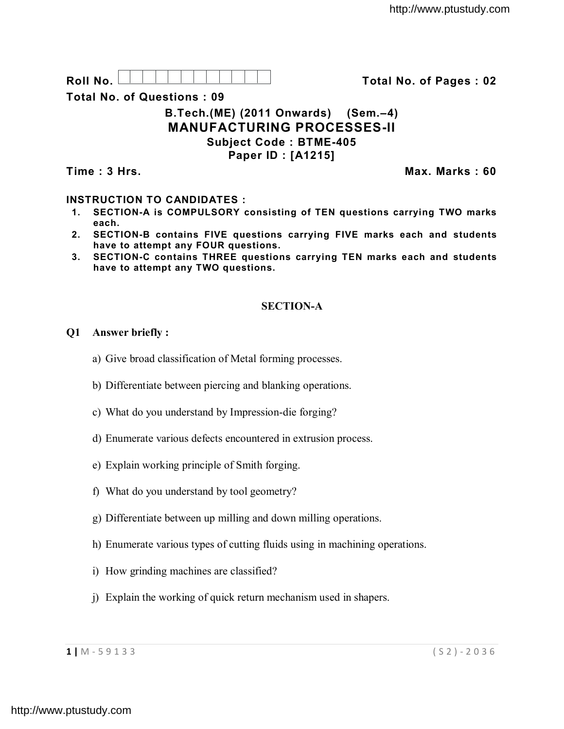Roll No. <u>And I And I Alexander Hermitide Collinson Total No.</u> of Pages : 02

**Total No. of Questions : 09**

# **B.Tech.(ME) (2011 Onwards) (Sem.–4) MANUFACTURING PROCESSES-II Subject Code : BTME-405 Paper ID : [A1215]**

**Time : 3 Hrs. Max. Marks : 60**

# **INSTRUCTION TO CANDIDATES :**

- **1. SECTION-A is COMPULSORY consisting of TEN questions carrying TWO marks each.**
- **2. SECTION-B contains FIVE questions carrying FIVE marks each and students have to attempt any FOUR questions.**
- **3. SECTION-C contains THREE questions carrying TEN marks each and students have to attempt any TWO questions.**

# **SECTION-A**

# **Q1 Answer briefly :**

- a) Give broad classification of Metal forming processes.
- b) Differentiate between piercing and blanking operations.
- c) What do you understand by Impression-die forging?
- d) Enumerate various defects encountered in extrusion process.
- e) Explain working principle of Smith forging.
- f) What do you understand by tool geometry?
- g) Differentiate between up milling and down milling operations.
- h) Enumerate various types of cutting fluids using in machining operations.
- i) How grinding machines are classified?
- j) Explain the working of quick return mechanism used in shapers.